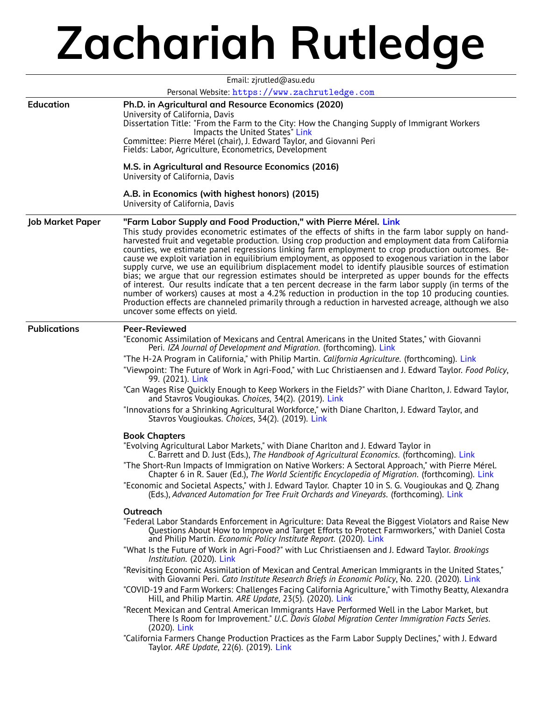## **Zachariah Rutledge**

| Email: zjrutled@asu.edu<br>Personal Website: https://www.zachrutledge.com |                                                                                                                                                                                                                                                                                                                                                                                                                                                                                                                                                                                                                                                                                                                                                                                                                                                                                                                                                                                                                                                                                                                                                                                                                                                                                                                                                                                                                                                                                                                                                                                                                                                                                                                                                                                                                                                                                                                                                                                                                                                                                                                                                                                                                                                                                                                                                                                                                                                                                                                                                         |  |
|---------------------------------------------------------------------------|---------------------------------------------------------------------------------------------------------------------------------------------------------------------------------------------------------------------------------------------------------------------------------------------------------------------------------------------------------------------------------------------------------------------------------------------------------------------------------------------------------------------------------------------------------------------------------------------------------------------------------------------------------------------------------------------------------------------------------------------------------------------------------------------------------------------------------------------------------------------------------------------------------------------------------------------------------------------------------------------------------------------------------------------------------------------------------------------------------------------------------------------------------------------------------------------------------------------------------------------------------------------------------------------------------------------------------------------------------------------------------------------------------------------------------------------------------------------------------------------------------------------------------------------------------------------------------------------------------------------------------------------------------------------------------------------------------------------------------------------------------------------------------------------------------------------------------------------------------------------------------------------------------------------------------------------------------------------------------------------------------------------------------------------------------------------------------------------------------------------------------------------------------------------------------------------------------------------------------------------------------------------------------------------------------------------------------------------------------------------------------------------------------------------------------------------------------------------------------------------------------------------------------------------------------|--|
| <b>Education</b>                                                          | Ph.D. in Agricultural and Resource Economics (2020)<br>University of California, Davis<br>Dissertation Title: "From the Farm to the City: How the Changing Supply of Immigrant Workers<br>Impacts the United States" Link<br>Committee: Pierre Mérel (chair), J. Edward Taylor, and Giovanni Peri<br>Fields: Labor, Agriculture, Econometrics, Development<br>M.S. in Agricultural and Resource Economics (2016)<br>University of California, Davis<br>A.B. in Economics (with highest honors) (2015)<br>University of California, Davis                                                                                                                                                                                                                                                                                                                                                                                                                                                                                                                                                                                                                                                                                                                                                                                                                                                                                                                                                                                                                                                                                                                                                                                                                                                                                                                                                                                                                                                                                                                                                                                                                                                                                                                                                                                                                                                                                                                                                                                                                |  |
| <b>Job Market Paper</b>                                                   | "Farm Labor Supply and Food Production," with Pierre Mérel. Link<br>This study provides econometric estimates of the effects of shifts in the farm labor supply on hand-<br>harvested fruit and vegetable production. Using crop production and employment data from California<br>counties, we estimate panel regressions linking farm employment to crop production outcomes. Be-<br>cause we exploit variation in equilibrium employment, as opposed to exogenous variation in the labor<br>supply curve, we use an equilibrium displacement model to identify plausible sources of estimation<br>bias; we argue that our regression estimates should be interpreted as upper bounds for the effects<br>of interest. Our results indicate that a ten percent decrease in the farm labor supply (in terms of the<br>number of workers) causes at most a 4.2% reduction in production in the top 10 producing counties.<br>Production effects are channeled primarily through a reduction in harvested acreage, although we also<br>uncover some effects on yield.                                                                                                                                                                                                                                                                                                                                                                                                                                                                                                                                                                                                                                                                                                                                                                                                                                                                                                                                                                                                                                                                                                                                                                                                                                                                                                                                                                                                                                                                                     |  |
| <b>Publications</b>                                                       | <b>Peer-Reviewed</b><br>"Economic Assimilation of Mexicans and Central Americans in the United States," with Giovanni<br>Peri. IZA Journal of Development and Migration. (forthcoming). Link<br>"The H-2A Program in California," with Philip Martin. California Agriculture. (forthcoming). Link<br>"Viewpoint: The Future of Work in Agri-Food," with Luc Christiaensen and J. Edward Taylor. Food Policy,<br>99. (2021). Link<br>"Can Wages Rise Quickly Enough to Keep Workers in the Fields?" with Diane Charlton, J. Edward Taylor,<br>and Stavros Vougioukas. Choices, 34(2). (2019). Link<br>"Innovations for a Shrinking Agricultural Workforce," with Diane Charlton, J. Edward Taylor, and<br>Stavros Vougioukas. Choices, 34(2). (2019). Link<br><b>Book Chapters</b><br>"Evolving Agricultural Labor Markets," with Diane Charlton and J. Edward Taylor in<br>C. Barrett and D. Just (Eds.), The Handbook of Agricultural Economics. (forthcoming). Link<br>"The Short-Run Impacts of Immigration on Native Workers: A Sectoral Approach," with Pierre Mérel.<br>Chapter 6 in R. Sauer (Ed.), The World Scientific Encyclopedia of Migration. (forthcoming). Link<br>"Economic and Societal Aspects," with J. Edward Taylor. Chapter 10 in S. G. Vougioukas and Q. Zhang<br>(Eds.), Advanced Automation for Tree Fruit Orchards and Vineyards. (forthcoming). Link<br>Outreach<br>"Federal Labor Standards Enforcement in Agriculture: Data Reveal the Biggest Violators and Raise New<br>Questions About How to Improve and Target Efforts to Protect Farmworkers," with Daniel Costa<br>and Philip Martin. Economic Policy Institute Report. (2020). Link<br>"What Is the Future of Work in Agri-Food?" with Luc Christiaensen and J. Edward Taylor. Brookings<br>Institution. (2020). Link<br>"Revisiting Economic Assimilation of Mexican and Central American Immigrants in the United States,"<br>with Giovanni Peri. Cato Institute Research Briefs in Economic Policy, No. 220. (2020). Link<br>"COVID-19 and Farm Workers: Challenges Facing California Agriculture," with Timothy Beatty, Alexandra<br>Hill, and Philip Martin. ARE Update, 23(5). (2020). Link<br>"Recent Mexican and Central American Immigrants Have Performed Well in the Labor Market, but<br>There Is Room for Improvement." U.C. Davis Global Migration Center Immigration Facts Series.<br>(2020). Link<br>"California Farmers Change Production Practices as the Farm Labor Supply Declines," with J. Edward<br>Taylor. ARE Update, 22(6). (2019). Link |  |